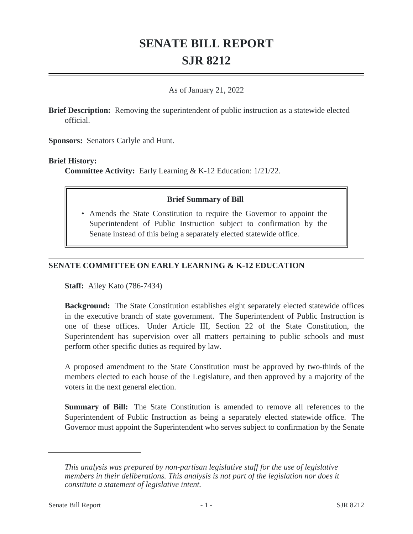# **SENATE BILL REPORT SJR 8212**

## As of January 21, 2022

**Brief Description:** Removing the superintendent of public instruction as a statewide elected official.

**Sponsors:** Senators Carlyle and Hunt.

#### **Brief History:**

**Committee Activity:** Early Learning & K-12 Education: 1/21/22.

## **Brief Summary of Bill**

• Amends the State Constitution to require the Governor to appoint the Superintendent of Public Instruction subject to confirmation by the Senate instead of this being a separately elected statewide office.

# **SENATE COMMITTEE ON EARLY LEARNING & K-12 EDUCATION**

**Staff:** Ailey Kato (786-7434)

**Background:** The State Constitution establishes eight separately elected statewide offices in the executive branch of state government. The Superintendent of Public Instruction is one of these offices. Under Article III, Section 22 of the State Constitution, the Superintendent has supervision over all matters pertaining to public schools and must perform other specific duties as required by law.

A proposed amendment to the State Constitution must be approved by two-thirds of the members elected to each house of the Legislature, and then approved by a majority of the voters in the next general election.

**Summary of Bill:** The State Constitution is amended to remove all references to the Superintendent of Public Instruction as being a separately elected statewide office. The Governor must appoint the Superintendent who serves subject to confirmation by the Senate

*This analysis was prepared by non-partisan legislative staff for the use of legislative members in their deliberations. This analysis is not part of the legislation nor does it constitute a statement of legislative intent.*